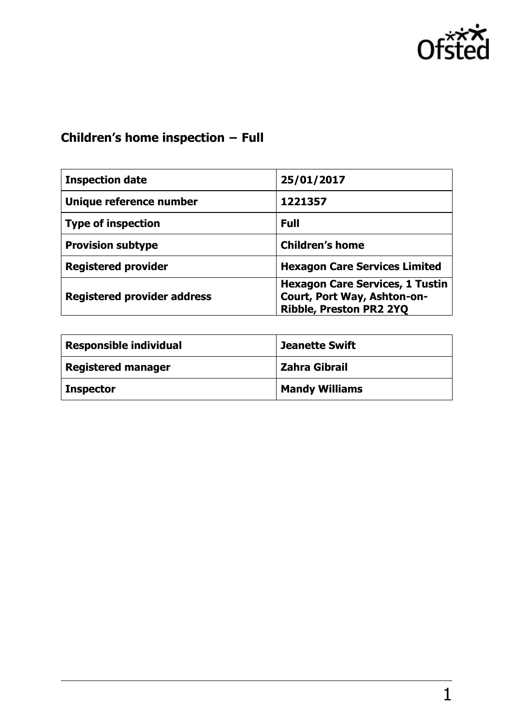

# **Children's home inspection − Full**

| <b>Inspection date</b>             | 25/01/2017                                                                                       |
|------------------------------------|--------------------------------------------------------------------------------------------------|
| Unique reference number            | 1221357                                                                                          |
| <b>Type of inspection</b>          | <b>Full</b>                                                                                      |
| <b>Provision subtype</b>           | <b>Children's home</b>                                                                           |
| <b>Registered provider</b>         | <b>Hexagon Care Services Limited</b>                                                             |
| <b>Registered provider address</b> | <b>Hexagon Care Services, 1 Tustin</b><br>Court, Port Way, Ashton-on-<br>Ribble, Preston PR2 2YQ |

| <b>Responsible individual</b> | <b>Jeanette Swift</b> |
|-------------------------------|-----------------------|
| <b>Registered manager</b>     | <b>Zahra Gibrail</b>  |
| <b>Inspector</b>              | <b>Mandy Williams</b> |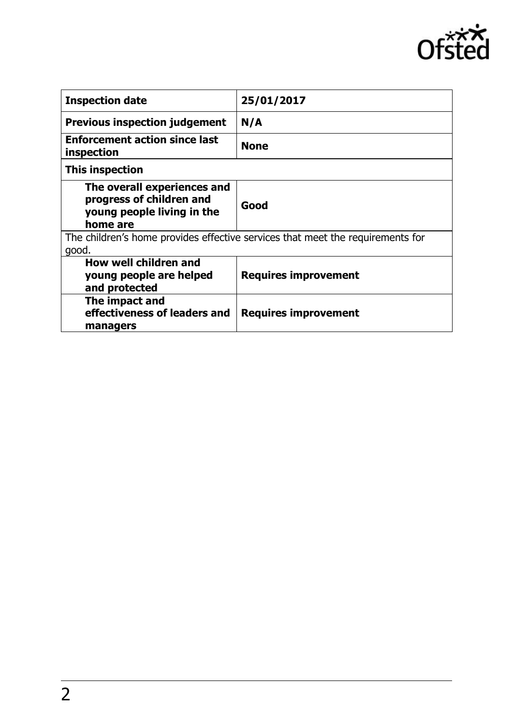

| <b>Inspection date</b>                                                                            | 25/01/2017                  |
|---------------------------------------------------------------------------------------------------|-----------------------------|
| <b>Previous inspection judgement</b>                                                              | N/A                         |
| <b>Enforcement action since last</b><br>inspection                                                | <b>None</b>                 |
| This inspection                                                                                   |                             |
| The overall experiences and<br>progress of children and<br>young people living in the<br>home are | Good                        |
| The children's home provides effective services that meet the requirements for<br>good.           |                             |
| How well children and<br>young people are helped<br>and protected                                 | <b>Requires improvement</b> |
| The impact and<br>effectiveness of leaders and<br>managers                                        | <b>Requires improvement</b> |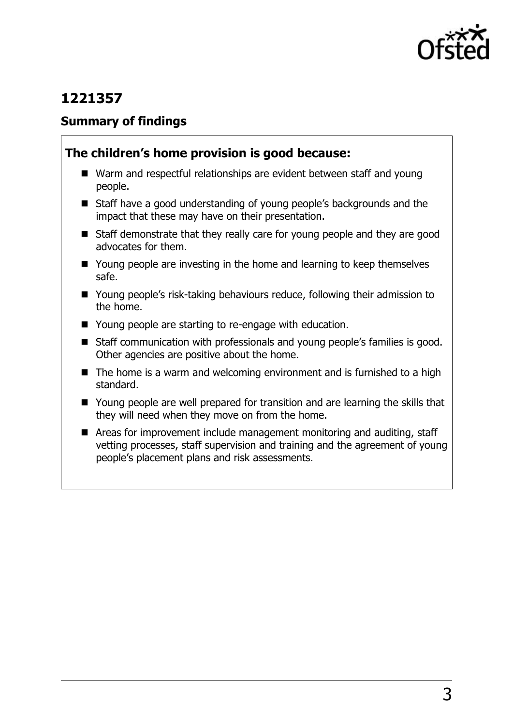

# **1221357**

### **Summary of findings**

## **The children's home provision is good because:**

- Warm and respectful relationships are evident between staff and young people.
- Staff have a good understanding of young people's backgrounds and the impact that these may have on their presentation.
- Staff demonstrate that they really care for young people and they are good advocates for them.
- Young people are investing in the home and learning to keep themselves safe.
- Young people's risk-taking behaviours reduce, following their admission to the home.
- Young people are starting to re-engage with education.
- Staff communication with professionals and young people's families is good. Other agencies are positive about the home.
- $\blacksquare$  The home is a warm and welcoming environment and is furnished to a high standard.
- Young people are well prepared for transition and are learning the skills that they will need when they move on from the home.
- Areas for improvement include management monitoring and auditing, staff vetting processes, staff supervision and training and the agreement of young people's placement plans and risk assessments.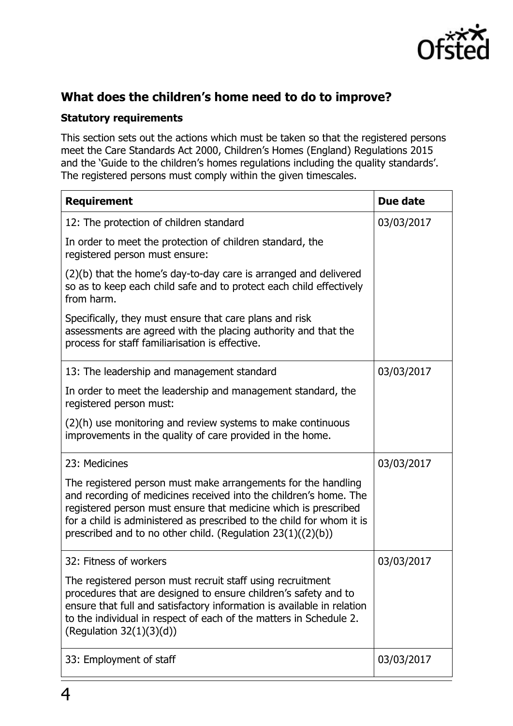

## **What does the children's home need to do to improve?**

#### **Statutory requirements**

This section sets out the actions which must be taken so that the registered persons meet the Care Standards Act 2000, Children's Homes (England) Regulations 2015 and the 'Guide to the children's homes regulations including the quality standards'. The registered persons must comply within the given timescales.

| <b>Requirement</b>                                                                                                                                                                                                                                                                                                                              | Due date   |
|-------------------------------------------------------------------------------------------------------------------------------------------------------------------------------------------------------------------------------------------------------------------------------------------------------------------------------------------------|------------|
| 12: The protection of children standard                                                                                                                                                                                                                                                                                                         | 03/03/2017 |
| In order to meet the protection of children standard, the<br>registered person must ensure:                                                                                                                                                                                                                                                     |            |
| (2)(b) that the home's day-to-day care is arranged and delivered<br>so as to keep each child safe and to protect each child effectively<br>from harm.                                                                                                                                                                                           |            |
| Specifically, they must ensure that care plans and risk<br>assessments are agreed with the placing authority and that the<br>process for staff familiarisation is effective.                                                                                                                                                                    |            |
| 13: The leadership and management standard                                                                                                                                                                                                                                                                                                      | 03/03/2017 |
| In order to meet the leadership and management standard, the<br>registered person must:                                                                                                                                                                                                                                                         |            |
| (2)(h) use monitoring and review systems to make continuous<br>improvements in the quality of care provided in the home.                                                                                                                                                                                                                        |            |
| 23: Medicines                                                                                                                                                                                                                                                                                                                                   | 03/03/2017 |
| The registered person must make arrangements for the handling<br>and recording of medicines received into the children's home. The<br>registered person must ensure that medicine which is prescribed<br>for a child is administered as prescribed to the child for whom it is<br>prescribed and to no other child. (Regulation $23(1)((2)(b))$ |            |
| 32: Fitness of workers                                                                                                                                                                                                                                                                                                                          | 03/03/2017 |
| The registered person must recruit staff using recruitment<br>procedures that are designed to ensure children's safety and to<br>ensure that full and satisfactory information is available in relation<br>to the individual in respect of each of the matters in Schedule 2.<br>(Regulation $32(1)(3)(d)$ )                                    |            |
| 33: Employment of staff                                                                                                                                                                                                                                                                                                                         | 03/03/2017 |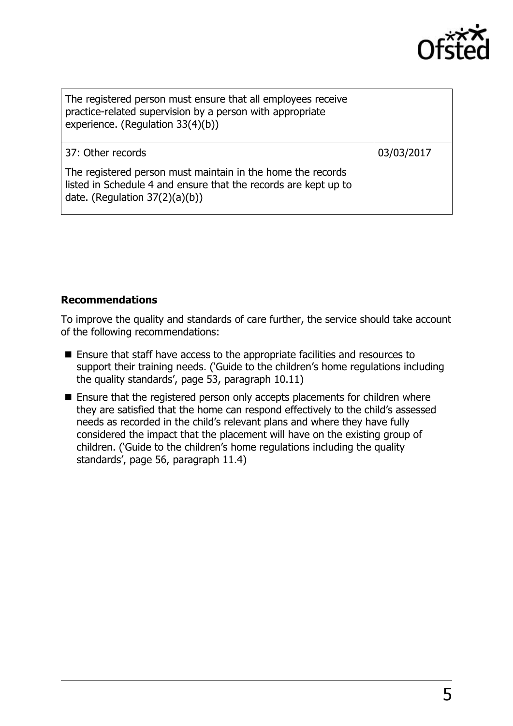

| The registered person must ensure that all employees receive<br>practice-related supervision by a person with appropriate<br>experience. (Regulation 33(4)(b))      |            |
|---------------------------------------------------------------------------------------------------------------------------------------------------------------------|------------|
| 37: Other records                                                                                                                                                   | 03/03/2017 |
| The registered person must maintain in the home the records<br>listed in Schedule 4 and ensure that the records are kept up to<br>date. (Regulation $37(2)(a)(b)$ ) |            |

#### **Recommendations**

To improve the quality and standards of care further, the service should take account of the following recommendations:

- Ensure that staff have access to the appropriate facilities and resources to support their training needs. ('Guide to the children's home regulations including the quality standards', page 53, paragraph 10.11)
- **Ensure that the registered person only accepts placements for children where** they are satisfied that the home can respond effectively to the child's assessed needs as recorded in the child's relevant plans and where they have fully considered the impact that the placement will have on the existing group of children. ('Guide to the children's home regulations including the quality standards', page 56, paragraph 11.4)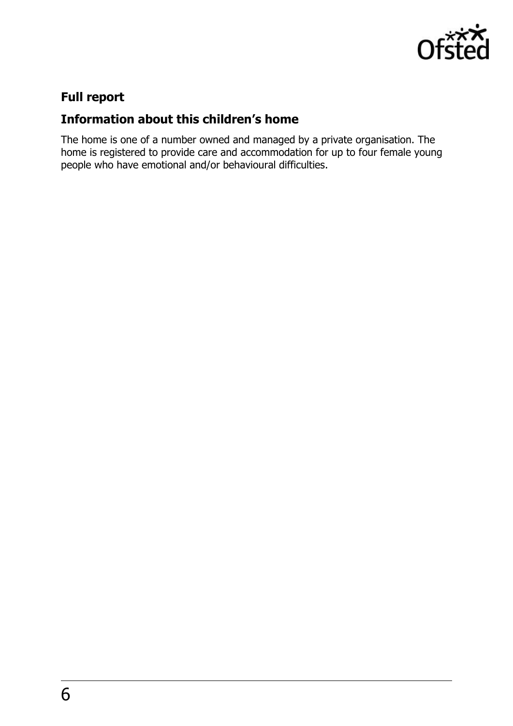

# **Full report**

## **Information about this children's home**

The home is one of a number owned and managed by a private organisation. The home is registered to provide care and accommodation for up to four female young people who have emotional and/or behavioural difficulties.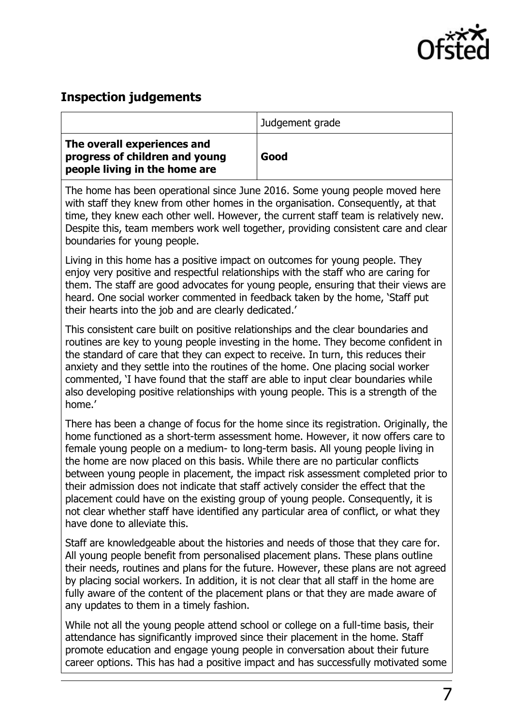

### **Inspection judgements**

|                                                                                                | Judgement grade |
|------------------------------------------------------------------------------------------------|-----------------|
| The overall experiences and<br>progress of children and young<br>people living in the home are | Good            |

The home has been operational since June 2016. Some young people moved here with staff they knew from other homes in the organisation. Consequently, at that time, they knew each other well. However, the current staff team is relatively new. Despite this, team members work well together, providing consistent care and clear boundaries for young people.

Living in this home has a positive impact on outcomes for young people. They enjoy very positive and respectful relationships with the staff who are caring for them. The staff are good advocates for young people, ensuring that their views are heard. One social worker commented in feedback taken by the home, 'Staff put their hearts into the job and are clearly dedicated.'

This consistent care built on positive relationships and the clear boundaries and routines are key to young people investing in the home. They become confident in the standard of care that they can expect to receive. In turn, this reduces their anxiety and they settle into the routines of the home. One placing social worker commented, 'I have found that the staff are able to input clear boundaries while also developing positive relationships with young people. This is a strength of the home.'

There has been a change of focus for the home since its registration. Originally, the home functioned as a short-term assessment home. However, it now offers care to female young people on a medium- to long-term basis. All young people living in the home are now placed on this basis. While there are no particular conflicts between young people in placement, the impact risk assessment completed prior to their admission does not indicate that staff actively consider the effect that the placement could have on the existing group of young people. Consequently, it is not clear whether staff have identified any particular area of conflict, or what they have done to alleviate this.

Staff are knowledgeable about the histories and needs of those that they care for. All young people benefit from personalised placement plans. These plans outline their needs, routines and plans for the future. However, these plans are not agreed by placing social workers. In addition, it is not clear that all staff in the home are fully aware of the content of the placement plans or that they are made aware of any updates to them in a timely fashion.

While not all the young people attend school or college on a full-time basis, their attendance has significantly improved since their placement in the home. Staff promote education and engage young people in conversation about their future career options. This has had a positive impact and has successfully motivated some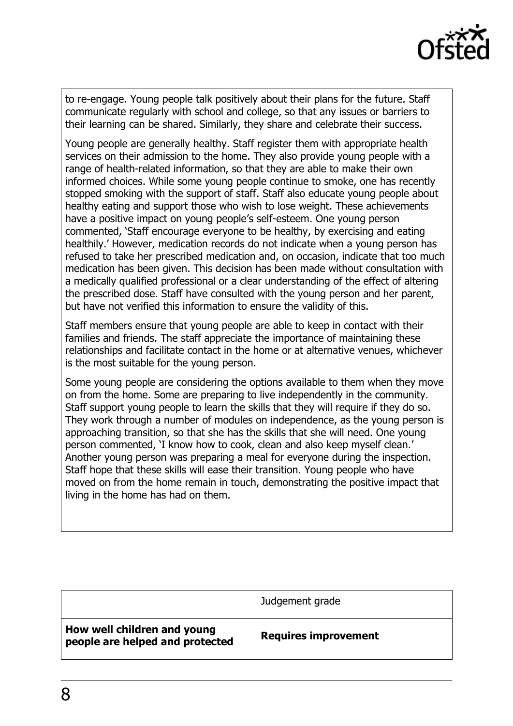

to re-engage. Young people talk positively about their plans for the future. Staff communicate regularly with school and college, so that any issues or barriers to their learning can be shared. Similarly, they share and celebrate their success.

Young people are generally healthy. Staff register them with appropriate health services on their admission to the home. They also provide young people with a range of health-related information, so that they are able to make their own informed choices. While some young people continue to smoke, one has recently stopped smoking with the support of staff. Staff also educate young people about healthy eating and support those who wish to lose weight. These achievements have a positive impact on young people's self-esteem. One young person commented, 'Staff encourage everyone to be healthy, by exercising and eating healthily.' However, medication records do not indicate when a young person has refused to take her prescribed medication and, on occasion, indicate that too much medication has been given. This decision has been made without consultation with a medically qualified professional or a clear understanding of the effect of altering the prescribed dose. Staff have consulted with the young person and her parent, but have not verified this information to ensure the validity of this.

Staff members ensure that young people are able to keep in contact with their families and friends. The staff appreciate the importance of maintaining these relationships and facilitate contact in the home or at alternative venues, whichever is the most suitable for the young person.

Some young people are considering the options available to them when they move on from the home. Some are preparing to live independently in the community. Staff support young people to learn the skills that they will require if they do so. They work through a number of modules on independence, as the young person is approaching transition, so that she has the skills that she will need. One young person commented, 'I know how to cook, clean and also keep myself clean.' Another young person was preparing a meal for everyone during the inspection. Staff hope that these skills will ease their transition. Young people who have moved on from the home remain in touch, demonstrating the positive impact that living in the home has had on them.

|                                                                | Judgement grade             |
|----------------------------------------------------------------|-----------------------------|
| How well children and young<br>people are helped and protected | <b>Requires improvement</b> |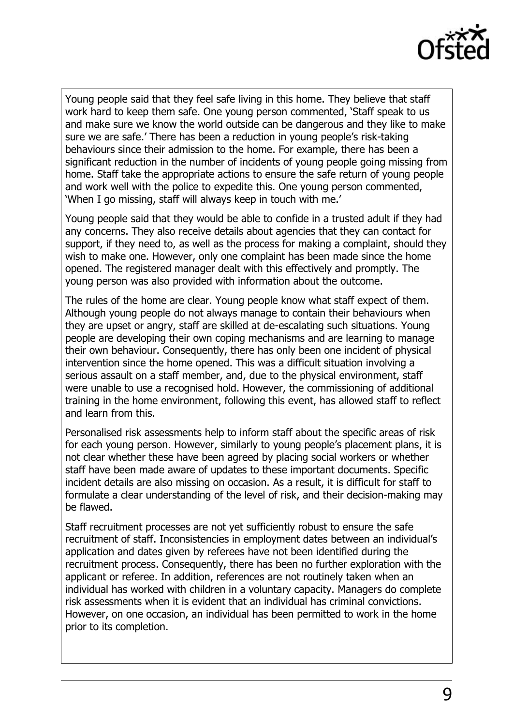

Young people said that they feel safe living in this home. They believe that staff work hard to keep them safe. One young person commented, 'Staff speak to us and make sure we know the world outside can be dangerous and they like to make sure we are safe.' There has been a reduction in young people's risk-taking behaviours since their admission to the home. For example, there has been a significant reduction in the number of incidents of young people going missing from home. Staff take the appropriate actions to ensure the safe return of young people and work well with the police to expedite this. One young person commented, 'When I go missing, staff will always keep in touch with me.'

Young people said that they would be able to confide in a trusted adult if they had any concerns. They also receive details about agencies that they can contact for support, if they need to, as well as the process for making a complaint, should they wish to make one. However, only one complaint has been made since the home opened. The registered manager dealt with this effectively and promptly. The young person was also provided with information about the outcome.

The rules of the home are clear. Young people know what staff expect of them. Although young people do not always manage to contain their behaviours when they are upset or angry, staff are skilled at de-escalating such situations. Young people are developing their own coping mechanisms and are learning to manage their own behaviour. Consequently, there has only been one incident of physical intervention since the home opened. This was a difficult situation involving a serious assault on a staff member, and, due to the physical environment, staff were unable to use a recognised hold. However, the commissioning of additional training in the home environment, following this event, has allowed staff to reflect and learn from this.

Personalised risk assessments help to inform staff about the specific areas of risk for each young person. However, similarly to young people's placement plans, it is not clear whether these have been agreed by placing social workers or whether staff have been made aware of updates to these important documents. Specific incident details are also missing on occasion. As a result, it is difficult for staff to formulate a clear understanding of the level of risk, and their decision-making may be flawed.

Staff recruitment processes are not yet sufficiently robust to ensure the safe recruitment of staff. Inconsistencies in employment dates between an individual's application and dates given by referees have not been identified during the recruitment process. Consequently, there has been no further exploration with the applicant or referee. In addition, references are not routinely taken when an individual has worked with children in a voluntary capacity. Managers do complete risk assessments when it is evident that an individual has criminal convictions. However, on one occasion, an individual has been permitted to work in the home prior to its completion.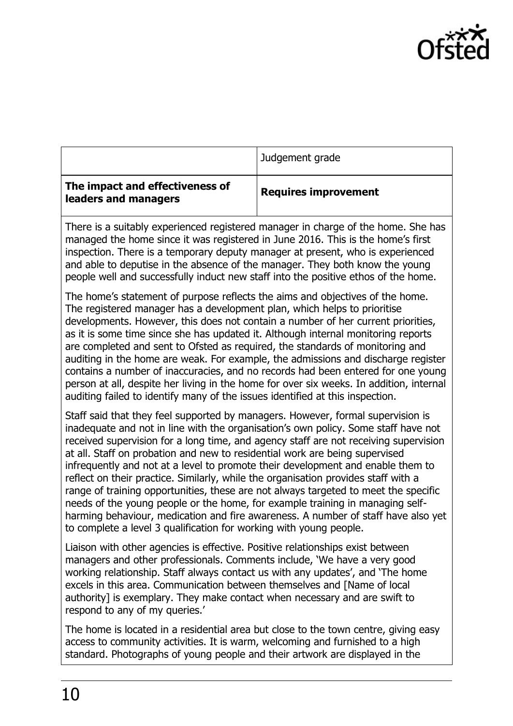

| The impact and effectiveness of | Judgement grade<br><b>Requires improvement</b> |
|---------------------------------|------------------------------------------------|
| leaders and managers            |                                                |

There is a suitably experienced registered manager in charge of the home. She has managed the home since it was registered in June 2016. This is the home's first inspection. There is a temporary deputy manager at present, who is experienced and able to deputise in the absence of the manager. They both know the young people well and successfully induct new staff into the positive ethos of the home.

The home's statement of purpose reflects the aims and objectives of the home. The registered manager has a development plan, which helps to prioritise developments. However, this does not contain a number of her current priorities, as it is some time since she has updated it. Although internal monitoring reports are completed and sent to Ofsted as required, the standards of monitoring and auditing in the home are weak. For example, the admissions and discharge register contains a number of inaccuracies, and no records had been entered for one young person at all, despite her living in the home for over six weeks. In addition, internal auditing failed to identify many of the issues identified at this inspection.

Staff said that they feel supported by managers. However, formal supervision is inadequate and not in line with the organisation's own policy. Some staff have not received supervision for a long time, and agency staff are not receiving supervision at all. Staff on probation and new to residential work are being supervised infrequently and not at a level to promote their development and enable them to reflect on their practice. Similarly, while the organisation provides staff with a range of training opportunities, these are not always targeted to meet the specific needs of the young people or the home, for example training in managing selfharming behaviour, medication and fire awareness. A number of staff have also yet to complete a level 3 qualification for working with young people.

Liaison with other agencies is effective. Positive relationships exist between managers and other professionals. Comments include, 'We have a very good working relationship. Staff always contact us with any updates', and 'The home excels in this area. Communication between themselves and [Name of local authority] is exemplary. They make contact when necessary and are swift to respond to any of my queries.'

The home is located in a residential area but close to the town centre, giving easy access to community activities. It is warm, welcoming and furnished to a high standard. Photographs of young people and their artwork are displayed in the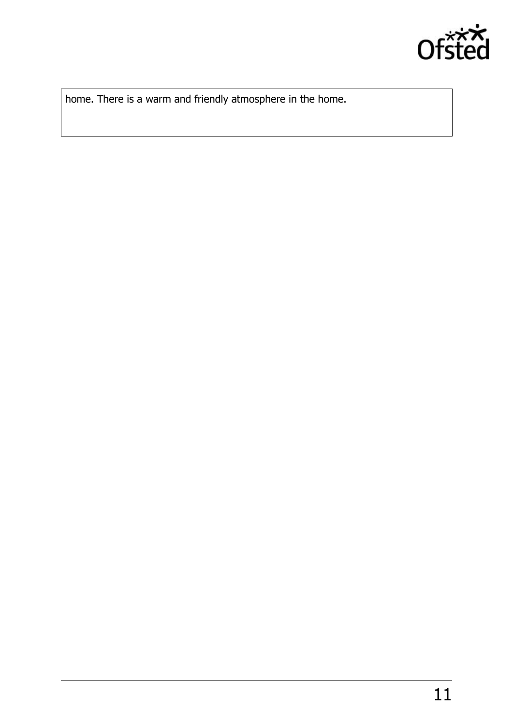

home. There is a warm and friendly atmosphere in the home.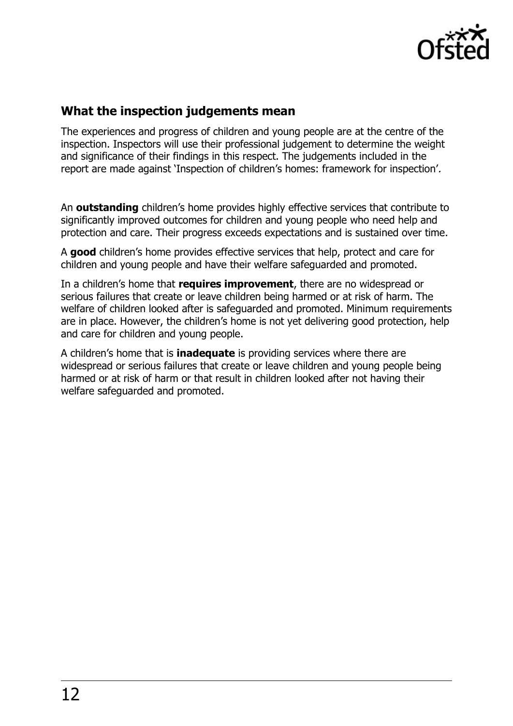

### **What the inspection judgements mean**

The experiences and progress of children and young people are at the centre of the inspection. Inspectors will use their professional judgement to determine the weight and significance of their findings in this respect. The judgements included in the report are made against 'Inspection of children's homes: framework for inspection'.

An **outstanding** children's home provides highly effective services that contribute to significantly improved outcomes for children and young people who need help and protection and care. Their progress exceeds expectations and is sustained over time.

A **good** children's home provides effective services that help, protect and care for children and young people and have their welfare safeguarded and promoted.

In a children's home that **requires improvement**, there are no widespread or serious failures that create or leave children being harmed or at risk of harm. The welfare of children looked after is safeguarded and promoted. Minimum requirements are in place. However, the children's home is not yet delivering good protection, help and care for children and young people.

A children's home that is **inadequate** is providing services where there are widespread or serious failures that create or leave children and young people being harmed or at risk of harm or that result in children looked after not having their welfare safeguarded and promoted.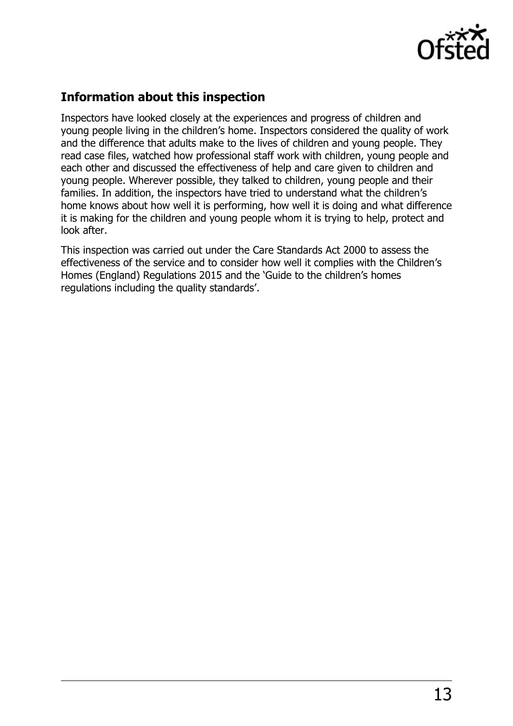

### **Information about this inspection**

Inspectors have looked closely at the experiences and progress of children and young people living in the children's home. Inspectors considered the quality of work and the difference that adults make to the lives of children and young people. They read case files, watched how professional staff work with children, young people and each other and discussed the effectiveness of help and care given to children and young people. Wherever possible, they talked to children, young people and their families. In addition, the inspectors have tried to understand what the children's home knows about how well it is performing, how well it is doing and what difference it is making for the children and young people whom it is trying to help, protect and look after.

This inspection was carried out under the Care Standards Act 2000 to assess the effectiveness of the service and to consider how well it complies with the Children's Homes (England) Regulations 2015 and the 'Guide to the children's homes regulations including the quality standards'.